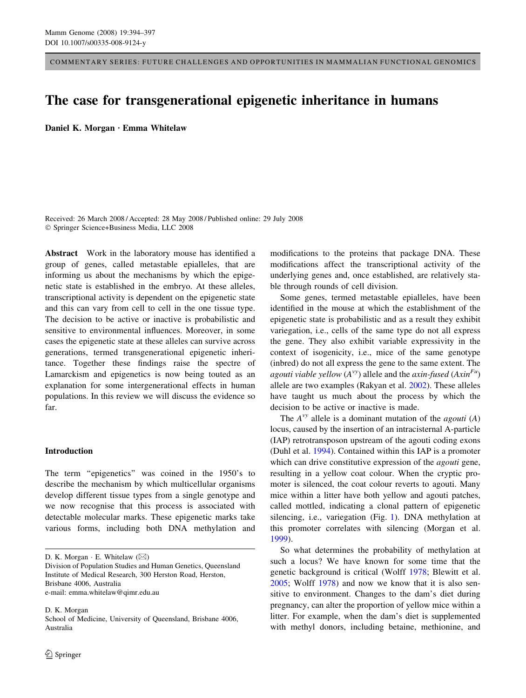COMMENTARY SERIES: FUTURE CHALLENGES AND OPPORTUNITIES IN MAMMALIAN FUNCTIONAL GENOMICS

# The case for transgenerational epigenetic inheritance in humans

Daniel K. Morgan · Emma Whitelaw

Received: 26 March 2008 / Accepted: 28 May 2008 / Published online: 29 July 2008 Springer Science+Business Media, LLC 2008

Abstract Work in the laboratory mouse has identified a group of genes, called metastable epialleles, that are informing us about the mechanisms by which the epigenetic state is established in the embryo. At these alleles, transcriptional activity is dependent on the epigenetic state and this can vary from cell to cell in the one tissue type. The decision to be active or inactive is probabilistic and sensitive to environmental influences. Moreover, in some cases the epigenetic state at these alleles can survive across generations, termed transgenerational epigenetic inheritance. Together these findings raise the spectre of Lamarckism and epigenetics is now being touted as an explanation for some intergenerational effects in human populations. In this review we will discuss the evidence so far.

## Introduction

The term "epigenetics" was coined in the 1950's to describe the mechanism by which multicellular organisms develop different tissue types from a single genotype and we now recognise that this process is associated with detectable molecular marks. These epigenetic marks take various forms, including both DNA methylation and

D. K. Morgan School of Medicine, University of Queensland, Brisbane 4006, Australia

modifications to the proteins that package DNA. These modifications affect the transcriptional activity of the underlying genes and, once established, are relatively stable through rounds of cell division.

Some genes, termed metastable epialleles, have been identified in the mouse at which the establishment of the epigenetic state is probabilistic and as a result they exhibit variegation, i.e., cells of the same type do not all express the gene. They also exhibit variable expressivity in the context of isogenicity, i.e., mice of the same genotype (inbred) do not all express the gene to the same extent. The agouti viable yellow  $(A^{vy})$  allele and the axin-fused  $(Axin^{Fu})$ allele are two examples (Rakyan et al. [2002](#page-3-0)). These alleles have taught us much about the process by which the decision to be active or inactive is made.

The  $A^{vy}$  allele is a dominant mutation of the *agouti* (A) locus, caused by the insertion of an intracisternal A-particle (IAP) retrotransposon upstream of the agouti coding exons (Duhl et al. [1994\)](#page-3-0). Contained within this IAP is a promoter which can drive constitutive expression of the *agouti* gene, resulting in a yellow coat colour. When the cryptic promoter is silenced, the coat colour reverts to agouti. Many mice within a litter have both yellow and agouti patches, called mottled, indicating a clonal pattern of epigenetic silencing, i.e., variegation (Fig. [1\)](#page-1-0). DNA methylation at this promoter correlates with silencing (Morgan et al. [1999](#page-3-0)).

So what determines the probability of methylation at such a locus? We have known for some time that the genetic background is critical (Wolff [1978](#page-3-0); Blewitt et al. [2005](#page-2-0); Wolff [1978\)](#page-3-0) and now we know that it is also sensitive to environment. Changes to the dam's diet during pregnancy, can alter the proportion of yellow mice within a litter. For example, when the dam's diet is supplemented with methyl donors, including betaine, methionine, and

D. K. Morgan  $\cdot$  E. Whitelaw  $(\boxtimes)$ 

Division of Population Studies and Human Genetics, Queensland Institute of Medical Research, 300 Herston Road, Herston, Brisbane 4006, Australia e-mail: emma.whitelaw@qimr.edu.au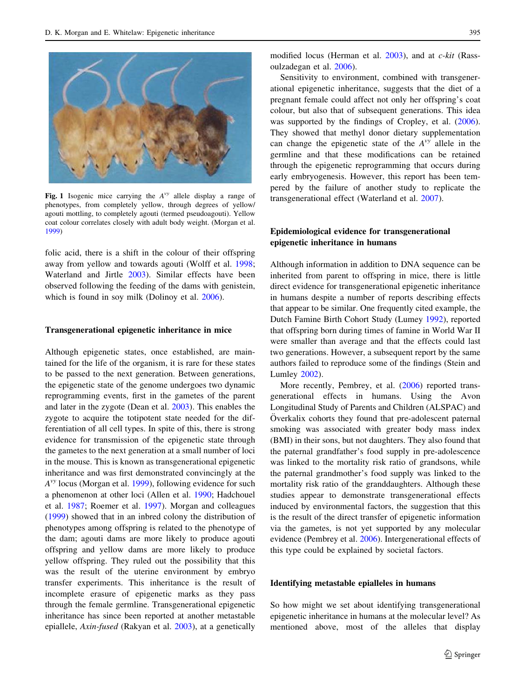<span id="page-1-0"></span>

Fig. 1 Isogenic mice carrying the  $A^{vy}$  allele display a range of phenotypes, from completely yellow, through degrees of yellow/ agouti mottling, to completely agouti (termed pseudoagouti). Yellow coat colour correlates closely with adult body weight. (Morgan et al. [1999\)](#page-3-0)

folic acid, there is a shift in the colour of their offspring away from yellow and towards agouti (Wolff et al. [1998](#page-3-0); Waterland and Jirtle [2003](#page-3-0)). Similar effects have been observed following the feeding of the dams with genistein, which is found in soy milk (Dolinoy et al. [2006](#page-3-0)).

#### Transgenerational epigenetic inheritance in mice

Although epigenetic states, once established, are maintained for the life of the organism, it is rare for these states to be passed to the next generation. Between generations, the epigenetic state of the genome undergoes two dynamic reprogramming events, first in the gametes of the parent and later in the zygote (Dean et al. [2003\)](#page-3-0). This enables the zygote to acquire the totipotent state needed for the differentiation of all cell types. In spite of this, there is strong evidence for transmission of the epigenetic state through the gametes to the next generation at a small number of loci in the mouse. This is known as transgenerational epigenetic inheritance and was first demonstrated convincingly at the  $A^{vy}$  locus (Morgan et al. [1999](#page-3-0)), following evidence for such a phenomenon at other loci (Allen et al. [1990;](#page-2-0) Hadchouel et al. [1987;](#page-3-0) Roemer et al. [1997](#page-3-0)). Morgan and colleagues [\(1999](#page-3-0)) showed that in an inbred colony the distribution of phenotypes among offspring is related to the phenotype of the dam; agouti dams are more likely to produce agouti offspring and yellow dams are more likely to produce yellow offspring. They ruled out the possibility that this was the result of the uterine environment by embryo transfer experiments. This inheritance is the result of incomplete erasure of epigenetic marks as they pass through the female germline. Transgenerational epigenetic inheritance has since been reported at another metastable epiallele, Axin-fused (Rakyan et al. [2003\)](#page-3-0), at a genetically

modified locus (Herman et al. [2003](#page-3-0)), and at c-kit (Rassoulzadegan et al. [2006\)](#page-3-0).

Sensitivity to environment, combined with transgenerational epigenetic inheritance, suggests that the diet of a pregnant female could affect not only her offspring's coat colour, but also that of subsequent generations. This idea was supported by the findings of Cropley, et al. [\(2006](#page-3-0)). They showed that methyl donor dietary supplementation can change the epigenetic state of the  $A<sup>vy</sup>$  allele in the germline and that these modifications can be retained through the epigenetic reprogramming that occurs during early embryogenesis. However, this report has been tempered by the failure of another study to replicate the transgenerational effect (Waterland et al. [2007\)](#page-3-0).

## Epidemiological evidence for transgenerational epigenetic inheritance in humans

Although information in addition to DNA sequence can be inherited from parent to offspring in mice, there is little direct evidence for transgenerational epigenetic inheritance in humans despite a number of reports describing effects that appear to be similar. One frequently cited example, the Dutch Famine Birth Cohort Study (Lumey [1992](#page-3-0)), reported that offspring born during times of famine in World War II were smaller than average and that the effects could last two generations. However, a subsequent report by the same authors failed to reproduce some of the findings (Stein and Lumley [2002\)](#page-3-0).

More recently, Pembrey, et al. ([2006](#page-3-0)) reported transgenerational effects in humans. Using the Avon Longitudinal Study of Parents and Children (ALSPAC) and Overkalix cohorts they found that pre-adolescent paternal smoking was associated with greater body mass index (BMI) in their sons, but not daughters. They also found that the paternal grandfather's food supply in pre-adolescence was linked to the mortality risk ratio of grandsons, while the paternal grandmother's food supply was linked to the mortality risk ratio of the granddaughters. Although these studies appear to demonstrate transgenerational effects induced by environmental factors, the suggestion that this is the result of the direct transfer of epigenetic information via the gametes, is not yet supported by any molecular evidence (Pembrey et al. [2006\)](#page-3-0). Intergenerational effects of this type could be explained by societal factors.

#### Identifying metastable epialleles in humans

So how might we set about identifying transgenerational epigenetic inheritance in humans at the molecular level? As mentioned above, most of the alleles that display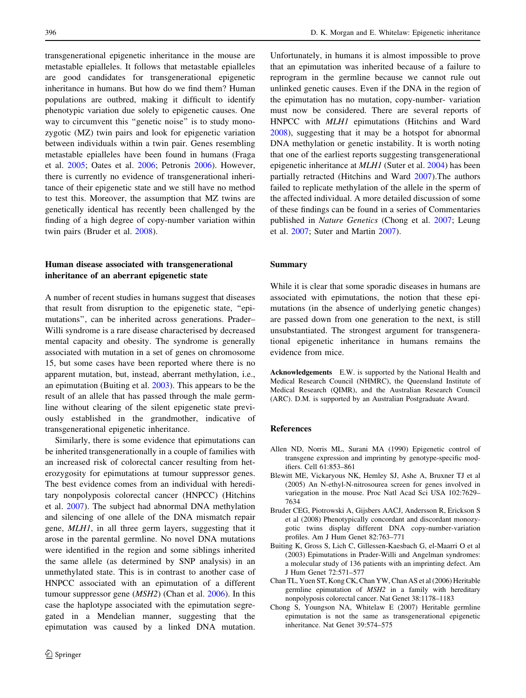<span id="page-2-0"></span>transgenerational epigenetic inheritance in the mouse are metastable epialleles. It follows that metastable epialleles are good candidates for transgenerational epigenetic inheritance in humans. But how do we find them? Human populations are outbred, making it difficult to identify phenotypic variation due solely to epigenetic causes. One way to circumvent this ''genetic noise'' is to study monozygotic (MZ) twin pairs and look for epigenetic variation between individuals within a twin pair. Genes resembling metastable epialleles have been found in humans (Fraga et al. [2005](#page-3-0); Oates et al. [2006](#page-3-0); Petronis [2006\)](#page-3-0). However, there is currently no evidence of transgenerational inheritance of their epigenetic state and we still have no method to test this. Moreover, the assumption that MZ twins are genetically identical has recently been challenged by the finding of a high degree of copy-number variation within twin pairs (Bruder et al. 2008).

## Human disease associated with transgenerational inheritance of an aberrant epigenetic state

A number of recent studies in humans suggest that diseases that result from disruption to the epigenetic state, ''epimutations'', can be inherited across generations. Prader– Willi syndrome is a rare disease characterised by decreased mental capacity and obesity. The syndrome is generally associated with mutation in a set of genes on chromosome 15, but some cases have been reported where there is no apparent mutation, but, instead, aberrant methylation, i.e., an epimutation (Buiting et al. 2003). This appears to be the result of an allele that has passed through the male germline without clearing of the silent epigenetic state previously established in the grandmother, indicative of transgenerational epigenetic inheritance.

Similarly, there is some evidence that epimutations can be inherited transgenerationally in a couple of families with an increased risk of colorectal cancer resulting from heterozygosity for epimutations at tumour suppressor genes. The best evidence comes from an individual with hereditary nonpolyposis colorectal cancer (HNPCC) (Hitchins et al. [2007](#page-3-0)). The subject had abnormal DNA methylation and silencing of one allele of the DNA mismatch repair gene, MLH1, in all three germ layers, suggesting that it arose in the parental germline. No novel DNA mutations were identified in the region and some siblings inherited the same allele (as determined by SNP analysis) in an unmethylated state. This is in contrast to another case of HNPCC associated with an epimutation of a different tumour suppressor gene (MSH2) (Chan et al. 2006). In this case the haplotype associated with the epimutation segregated in a Mendelian manner, suggesting that the epimutation was caused by a linked DNA mutation.

Unfortunately, in humans it is almost impossible to prove that an epimutation was inherited because of a failure to reprogram in the germline because we cannot rule out unlinked genetic causes. Even if the DNA in the region of the epimutation has no mutation, copy-number- variation must now be considered. There are several reports of HNPCC with MLH1 epimutations (Hitchins and Ward [2008](#page-3-0)), suggesting that it may be a hotspot for abnormal DNA methylation or genetic instability. It is worth noting that one of the earliest reports suggesting transgenerational epigenetic inheritance at MLH1 (Suter et al. [2004\)](#page-3-0) has been partially retracted (Hitchins and Ward [2007](#page-3-0)).The authors failed to replicate methylation of the allele in the sperm of the affected individual. A more detailed discussion of some of these findings can be found in a series of Commentaries published in Nature Genetics (Chong et al. 2007; Leung et al. [2007;](#page-3-0) Suter and Martin [2007\)](#page-3-0).

### Summary

While it is clear that some sporadic diseases in humans are associated with epimutations, the notion that these epimutations (in the absence of underlying genetic changes) are passed down from one generation to the next, is still unsubstantiated. The strongest argument for transgenerational epigenetic inheritance in humans remains the evidence from mice.

Acknowledgements E.W. is supported by the National Health and Medical Research Council (NHMRC), the Queensland Institute of Medical Research (QIMR), and the Australian Research Council (ARC). D.M. is supported by an Australian Postgraduate Award.

#### References

- Allen ND, Norris ML, Surani MA (1990) Epigenetic control of transgene expression and imprinting by genotype-specific modifiers. Cell 61:853–861
- Blewitt ME, Vickaryous NK, Hemley SJ, Ashe A, Bruxner TJ et al (2005) An N-ethyl-N-nitrosourea screen for genes involved in variegation in the mouse. Proc Natl Acad Sci USA 102:7629– 7634
- Bruder CEG, Piotrowski A, Gijsbers AACJ, Andersson R, Erickson S et al (2008) Phenotypically concordant and discordant monozygotic twins display different DNA copy-number-variation profiles. Am J Hum Genet 82:763–771
- Buiting K, Gross S, Lich C, Gillessen-Kaesbach G, el-Maarri O et al (2003) Epimutations in Prader-Willi and Angelman syndromes: a molecular study of 136 patients with an imprinting defect. Am J Hum Genet 72:571–577
- Chan TL, Yuen ST, Kong CK, Chan YW, Chan AS et al (2006) Heritable germline epimutation of MSH2 in a family with hereditary nonpolyposis colorectal cancer. Nat Genet 38:1178–1183
- Chong S, Youngson NA, Whitelaw E (2007) Heritable germline epimutation is not the same as transgenerational epigenetic inheritance. Nat Genet 39:574–575